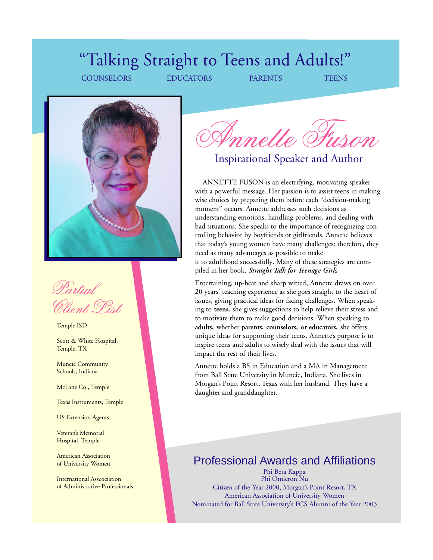# "Talking Straight to Teens and Adults!"

COUNSELORS EDUCATORS PARENTS TEENS



Partial Client Pist

Temple ISD

Scott & White Hospital, Temple, TX

Muncie Community Schools, Indiana

McLane Co., Temple

Texas Instruments, Temple

US Extension Agents

Veteran's Memorial Hospital, Temple

American Association of University Women

International Asscociation of Administrative Professionals

Annette Fuson

Inspirational Speaker and Author

ANNETTE FUSON is an electrifying, motivating speaker with a powerful message. Her passion is to assist teens in making wise choices by preparing them before each "decision-making moment" occurs. Annette addresses such decisions as understanding emotions, handling problems, and dealing with bad situations. She speaks to the importance of recognizing controlling behavior by boyfriends or girlfriends. Annette believes that today's young women have many challenges: therefore, they need as many advantages as possible to make it to adulthood successfully. Many of these strategies are compiled in her book, *Straight Talk for Teenage Girls*.

Entertaining, up-beat and sharp witted, Annette draws on over 20 years' teaching experience as she goes straight to the heart of issues, giving practical ideas for facing challenges. When speaking to **teens**, she gives suggestions to help relieve their stress and to motivate them to make good decisions. When speaking to **adults,** whether **parents, counselors,** or **educators,** she offers unique ideas for supporting their teens. Annette's purpose is to inspire teens and adults to wisely deal with the issues that will impact the rest of their lives.

Annette holds a BS in Education and a MA in Management from Ball State University in Muncie, Indiana. She lives in Morgan's Point Resort, Texas with her husband. They have a daughter and granddaughter.

### Professional Awards and Affiliations

Phi Beta Kappa Phi Omicron Nu Citizen of the Year 2000, Morgan's Point Resort, TX American Association of University Women Nominated for Ball State University's FCS Alumni of the Year 2003